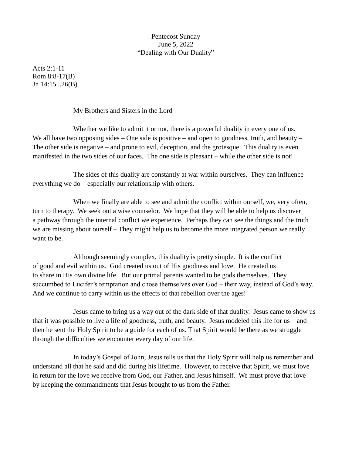## Pentecost Sunday June 5, 2022 "Dealing with Our Duality"

Acts 2:1-11 Rom 8:8-17(B) Jn 14:15...26(B)

My Brothers and Sisters in the Lord –

Whether we like to admit it or not, there is a powerful duality in every one of us. We all have two opposing sides – One side is positive – and open to goodness, truth, and beauty – The other side is negative – and prone to evil, deception, and the grotesque. This duality is even manifested in the two sides of our faces. The one side is pleasant – while the other side is not!

The sides of this duality are constantly at war within ourselves. They can influence everything we do – especially our relationship with others.

When we finally are able to see and admit the conflict within ourself, we, very often, turn to therapy. We seek out a wise counselor. We hope that they will be able to help us discover a pathway through the internal conflict we experience. Perhaps they can see the things and the truth we are missing about ourself – They might help us to become the more integrated person we really want to be.

Although seemingly complex, this duality is pretty simple. It is the conflict of good and evil within us. God created us out of His goodness and love. He created us to share in His own divine life. But our primal parents wanted to be gods themselves. They succumbed to Lucifer's temptation and chose themselves over God – their way, instead of God's way. And we continue to carry within us the effects of that rebellion over the ages!

Jesus came to bring us a way out of the dark side of that duality. Jesus came to show us that it was possible to live a life of goodness, truth, and beauty. Jesus modeled this life for us – and then he sent the Holy Spirit to be a guide for each of us. That Spirit would be there as we struggle through the difficulties we encounter every day of our life.

In today's Gospel of John, Jesus tells us that the Holy Spirit will help us remember and understand all that he said and did during his lifetime. However, to receive that Spirit, we must love in return for the love we receive from God, our Father, and Jesus himself. We must prove that love by keeping the commandments that Jesus brought to us from the Father.